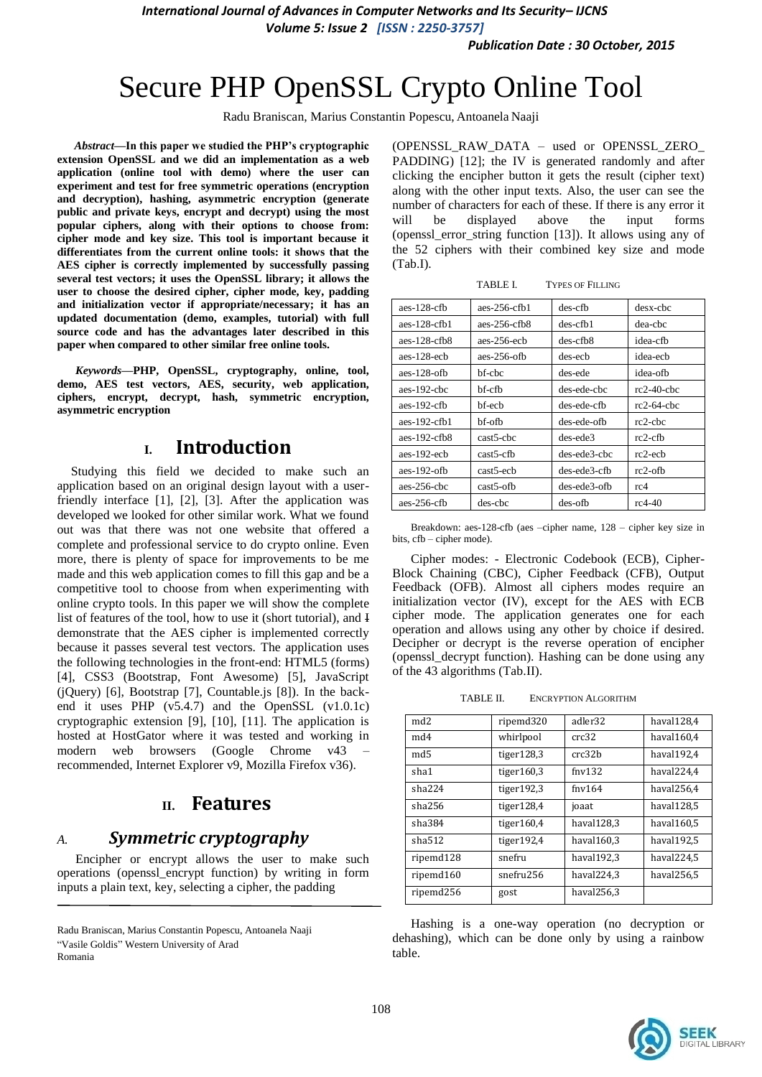*International Journal of Advances in Computer Networks and Its Security– IJCNS Volume 5: Issue 2 [ISSN : 2250-3757]* 

*Publication Date : 30 October, 2015*

# Secure PHP OpenSSL Crypto Online Tool

Radu Braniscan, Marius Constantin Popescu, Antoanela Naaji

*Abstract***—In this paper we studied the PHP's cryptographic extension OpenSSL and we did an implementation as a web application (online tool with demo) where the user can experiment and test for free symmetric operations (encryption and decryption), hashing, asymmetric encryption (generate public and private keys, encrypt and decrypt) using the most popular ciphers, along with their options to choose from: cipher mode and key size. This tool is important because it differentiates from the current online tools: it shows that the AES cipher is correctly implemented by successfully passing several test vectors; it uses the OpenSSL library; it allows the user to choose the desired cipher, cipher mode, key, padding and initialization vector if appropriate/necessary; it has an updated documentation (demo, examples, tutorial) with full source code and has the advantages later described in this paper when compared to other similar free online tools.**

*Keywords—***PHP, OpenSSL, cryptography, online, tool, demo, AES test vectors, AES, security, web application, ciphers, encrypt, decrypt, hash, symmetric encryption, asymmetric encryption**

## **I. Introduction**

Studying this field we decided to make such an application based on an original design layout with a userfriendly interface [1], [2], [3]. After the application was developed we looked for other similar work. What we found out was that there was not one website that offered a complete and professional service to do crypto online. Even more, there is plenty of space for improvements to be me made and this web application comes to fill this gap and be a competitive tool to choose from when experimenting with online crypto tools. In this paper we will show the complete list of features of the tool, how to use it (short tutorial), and I demonstrate that the AES cipher is implemented correctly because it passes several test vectors. The application uses the following technologies in the front-end: HTML5 (forms) [4], CSS3 (Bootstrap, Font Awesome) [5], JavaScript (jQuery) [6], Bootstrap [7], Countable.js [8]). In the backend it uses PHP (v5.4.7) and the OpenSSL (v1.0.1c) cryptographic extension [9], [10], [11]. The application is hosted at HostGator where it was tested and working in modern web browsers (Google Chrome v43 – recommended, Internet Explorer v9, Mozilla Firefox v36).

## **II. Features**

## *A. Symmetric cryptography*

Encipher or encrypt allows the user to make such operations (openssl\_encrypt function) by writing in form inputs a plain text, key, selecting a cipher, the padding

Radu Braniscan, Marius Constantin Popescu, Antoanela Naaji ―Vasile Goldis‖ Western University of Arad Romania

(OPENSSL\_RAW\_DATA – used or OPENSSL\_ZERO\_ PADDING) [12]; the IV is generated randomly and after clicking the encipher button it gets the result (cipher text) along with the other input texts. Also, the user can see the number of characters for each of these. If there is any error it will be displayed above the input forms (openssl\_error\_string function [13]). It allows using any of the 52 ciphers with their combined key size and mode (Tab.I).

TABLE I. TYPES OF FILLING

| $a$ es-128-cfb  | $aes-256-cfh1$ | $des-cfb$    | desx-chc      |
|-----------------|----------------|--------------|---------------|
| $a$ es-128-cfb1 | $aes-256-cfb8$ | $des-cfb1$   | dea-chc       |
| aes-128-cfb $8$ | $a$ es-256-ech | $des-cfb8$   | idea-cfb      |
| aes-128-ech     | $aes-256-6fb$  | des-ech      | idea-ech      |
| aes-128-ofb     | bf-cbc         | des-ede      | idea-ofb      |
| aes-192-chc     | bf-cfb         | des-ede-chc  | $rc2-40$ -chc |
| aes-192-cfb     | bf-ech         | des-ede-cfb  | $rc2-64-chc$  |
| aes-192-cfb1    | bf-ofb         | des-ede-ofb  | $rc2$ -chc    |
| aes-192-cfb $8$ | cast5-chc      | des-ede3     | $rc2-cfb$     |
| aes-192-ech     | $cast5-cfb$    | des-ede3-cbc | $rc2-ech$     |
| aes-192-ofb     | cast5-ecb      | des-ede3-cfb | $rc2$ -ofb    |
| $aes-256$ -chc  | $cast5-ofb$    | des-ede3-ofb | rc4           |
| $aes-256-cfb$   | des-chc        | des-ofb      | $rc4-40$      |

Breakdown: aes-128-cfb (aes –cipher name, 128 – cipher key size in bits, cfb – cipher mode).

Cipher modes: - Electronic Codebook (ECB), Cipher-Block Chaining (CBC), Cipher Feedback (CFB), Output Feedback (OFB). Almost all ciphers modes require an initialization vector (IV), except for the AES with ECB cipher mode. The application generates one for each operation and allows using any other by choice if desired. Decipher or decrypt is the reverse operation of encipher (openssl\_decrypt function). Hashing can be done using any of the 43 algorithms (Tab.II).

TABLE II. ENCRYPTION ALGORITHM

| md <sub>2</sub> | ripemd320     | adler32             | haval128,4 |
|-----------------|---------------|---------------------|------------|
| md4             | whirlpool     | crc32               | haval160,4 |
| md <sub>5</sub> | tiger $128,3$ | crc32h              | haval192,4 |
| sha1            | tiger $160,3$ | $f_{\text{nv}}132$  | haval224.4 |
| sha224          | tiger $192,3$ | $f_{\text{nv}}$ 164 | haval256.4 |
| sha256          | tiger $128,4$ | joaat               | haval128,5 |
| sha384          | tige $r160,4$ | haval128.3          | haval160,5 |
| sha512          | tiger192,4    | haval $160.3$       | haval192,5 |
| ripemd128       | snefru        | haval192,3          | haval224,5 |
| ripemd160       | snefru256     | haval $224.3$       | haval256.5 |
| ripemd256       | gost          | haval $256.3$       |            |

Hashing is a one-way operation (no decryption or dehashing), which can be done only by using a rainbow table.

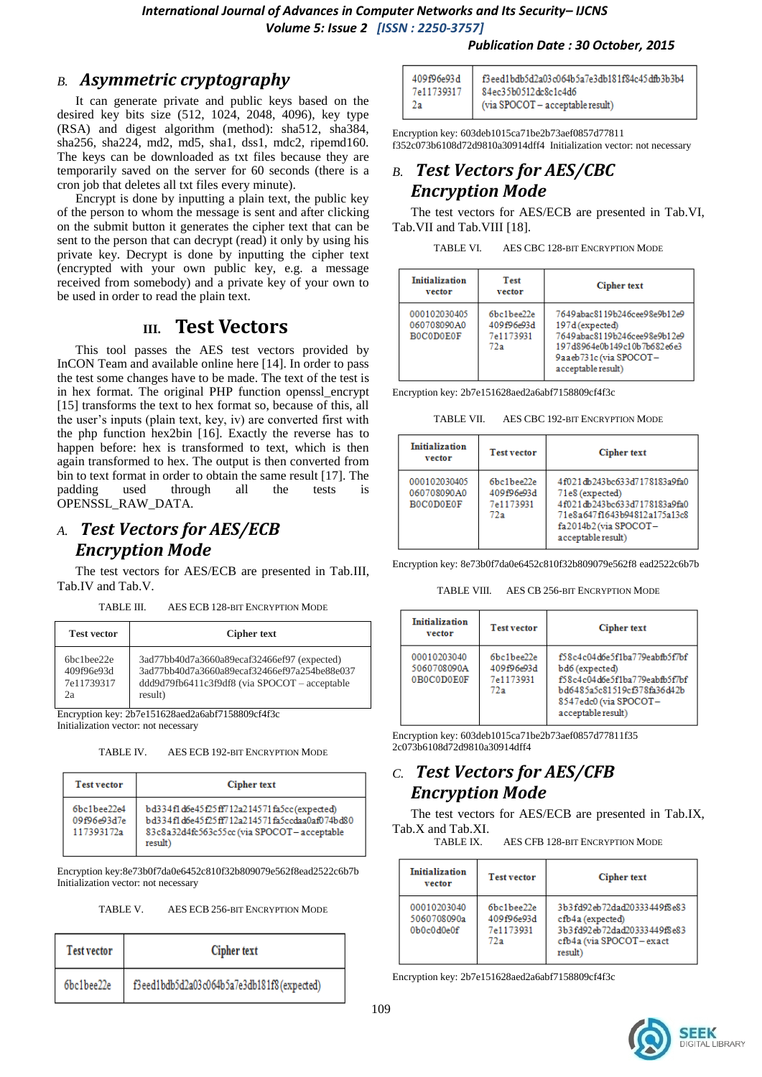*International Journal of Advances in Computer Networks and Its Security– IJCNS Volume 5: Issue 2 [ISSN : 2250-3757]* 

## *B. Asymmetric cryptography*

It can generate private and public keys based on the desired key bits size (512, 1024, 2048, 4096), key type (RSA) and digest algorithm (method): sha512, sha384, sha256, sha224, md2, md5, sha1, dss1, mdc2, ripemd160. The keys can be downloaded as txt files because they are temporarily saved on the server for 60 seconds (there is a cron job that deletes all txt files every minute).

Encrypt is done by inputting a plain text, the public key of the person to whom the message is sent and after clicking on the submit button it generates the cipher text that can be sent to the person that can decrypt (read) it only by using his private key. Decrypt is done by inputting the cipher text (encrypted with your own public key, e.g. a message received from somebody) and a private key of your own to be used in order to read the plain text.

## **III. Test Vectors**

This tool passes the AES test vectors provided by InCON Team and available online here [14]. In order to pass the test some changes have to be made. The text of the test is in hex format. The original PHP function openssl\_encrypt [15] transforms the text to hex format so, because of this, all the user's inputs (plain text, key, iv) are converted first with the php function hex2bin [16]. Exactly the reverse has to happen before: hex is transformed to text, which is then again transformed to hex. The output is then converted from bin to text format in order to obtain the same result [17]. The padding used through all the tests is OPENSSL\_RAW\_DATA.

## *A. Test Vectors for AES/ECB Encryption Mode*

The test vectors for AES/ECB are presented in Tab.III, Tab.IV and Tab.V.

TABLE III. AES ECB 128-BIT ENCRYPTION MODE

**Test vector Cipher text** 6bc1bee22e 409f96e93d 7e11739317  $2a$ 3ad77bb40d7a3660a89ecaf32466ef97 (expected) 3ad77bb40d7a3660a89ecaf32466ef97a254be88e037 ddd9d79fb6411c3f9df8 (via SPOCOT – acceptable result) Encryption key: 2b7e151628aed2a6abf7158809cf4f3c

Initialization vector: not necessary

TABLE IV. AES ECB 192-BIT ENCRYPTION MODE

| <b>Test vector</b>                                        | Cipher text                                                                                                                                          |
|-----------------------------------------------------------|------------------------------------------------------------------------------------------------------------------------------------------------------|
| $6bc1$ <sub>bee</sub> $22e4$<br>09f96e93d7e<br>117393172a | bd334fld6e45f25ff712a214571fa5cc(expected)<br>bd334f1d6e45f25ff712a214571fa5ccdaa0af074bd80<br>83c8a32d4fc563c55cc (via SPOCOT-acceptable<br>result) |

Encryption key:8e73b0f7da0e6452c810f32b809079e562f8ead2522c6b7b Initialization vector: not necessary

TABLE V. AES ECB 256-BIT ENCRYPTION MODE

| <b>Test vector</b> | <b>Cipher text</b>                         |  |
|--------------------|--------------------------------------------|--|
| 6bc1bee22e         | f3eed1bdb5d2a03c064b5a7e3db181f8(expected) |  |

| 409f96e93d | f3eed1bdb5d2a03c064b5a7e3db181f84c45dfb3b3b4 |
|------------|----------------------------------------------|
| 7e11739317 | 84ec35b0512dc8c1c4d6                         |
| -2а        | (via SPOCOT - acceptable result)             |

Encryption key: 603deb1015ca71be2b73aef0857d77811 f352c073b6108d72d9810a30914dff4 Initialization vector: not necessary

## *B. Test Vectors for AES/CBC Encryption Mode*

The test vectors for AES/ECB are presented in Tab.VI, Tab.VII and Tab.VIII [18].

| TABLE VI. | AES CBC 128-BIT ENCRYPTION MODE |
|-----------|---------------------------------|
|           |                                 |

| Initialization<br>vector                        | <b>Test</b><br>vector                        | <b>Cipher text</b>                                                                                                                                             |
|-------------------------------------------------|----------------------------------------------|----------------------------------------------------------------------------------------------------------------------------------------------------------------|
| 000102030405<br>060708090A0<br><b>BOCODOEOF</b> | 6bc1bee22e<br>409f96e93d<br>7e1173931<br>72a | 7649abac8119b246cee98e9b12e9<br>197d (expected)<br>7649abac8119b246cee98e9b12e9<br>197d8964e0b149c10b7b682e6e3<br>9aaeb731c (via SPOCOT-<br>acceptable result) |

Encryption key: 2b7e151628aed2a6abf7158809cf4f3c

TABLE VII. AES CBC 192-BIT ENCRYPTION MODE

| <b>Initialization</b><br>vector                 | <b>Test vector</b>                           | Cipher text                                                                                                                                                   |
|-------------------------------------------------|----------------------------------------------|---------------------------------------------------------------------------------------------------------------------------------------------------------------|
| 000102030405<br>060708090A0<br><b>BOCODOEOF</b> | 6bc1bee22e<br>409f96e93d<br>7e1173931<br>72a | 4f021db243bc633d7178183a9fa0<br>71e8 (expected)<br>4f021db243bc633d7178183a9fa0<br>71e8a647f1643b94812a175a13c8<br>fa2014b2(via SPOCOT-<br>acceptable result) |

Encryption key: 8e73b0f7da0e6452c810f32b809079e562f8 ead2522c6b7b

TABLE VIII. AES CR 256-BIT ENCRYPTION MODE

| <b>Initialization</b><br>vector          | <b>Test vector</b>                           | Cipher text                                                                                                                                                    |
|------------------------------------------|----------------------------------------------|----------------------------------------------------------------------------------------------------------------------------------------------------------------|
| 00010203040<br>5060708090A<br>0B0C0D0E0F | 6bc1bee22e<br>409f96e93d<br>7e1173931<br>72a | f58c4c04d6e5f1ba779eabfb5f7bf<br>bd6 (expected)<br>f58c4c04d6e5f1ba779eabfb5f7bf<br>bd6485a5c81519cf378fa36d42b<br>8547edc0 (via SPOCOT-<br>acceptable result) |

Encryption key: 603deb1015ca71be2b73aef0857d77811f35 2c073b6108d72d9810a30914dff4

## *C. Test Vectors for AES/CFB Encryption Mode*

The test vectors for AES/ECB are presented in Tab.IX, Tab.X and Tab.XI.

TABLE IX. AES CFB 128-BIT ENCRYPTION MODE

| <b>Initialization</b><br>vector            | <b>Test vector</b>                           | Cipher text                                                                                                          |
|--------------------------------------------|----------------------------------------------|----------------------------------------------------------------------------------------------------------------------|
| 00010203040<br>5060708090a<br>$0b0c0d0e0f$ | 6bc1bee22e<br>409f96e93d<br>7e1173931<br>72a | 3b3fd92eb72dad20333449f8e83<br>cfb4a (expected)<br>3b3fd92eb72dad20333449f8e83<br>cfb4a (via SPOCOT-exact<br>result) |

Encryption key: 2b7e151628aed2a6abf7158809cf4f3c

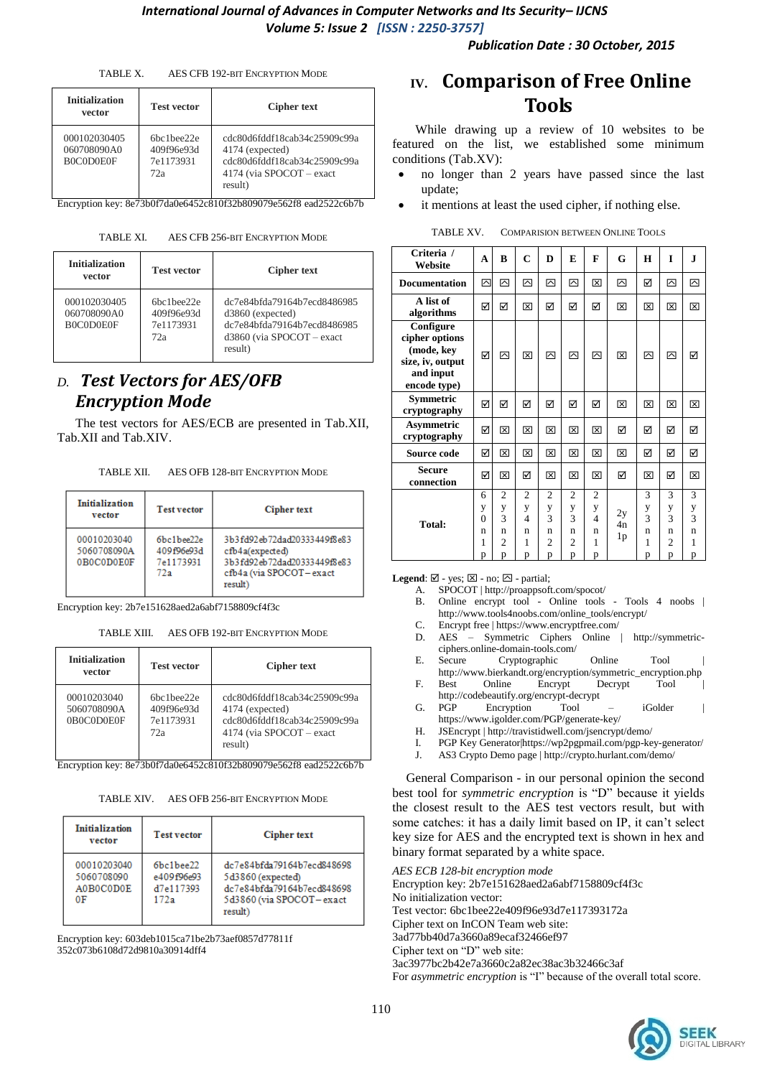*Publication Date : 30 October, 2015*

| TABLE X. | AES CFB 192-BIT ENCRYPTION MODE |  |
|----------|---------------------------------|--|
|          |                                 |  |

| <b>Initialization</b><br>vector          | <b>Test vector</b>                          | <b>Cipher text</b>                                                                                                     |
|------------------------------------------|---------------------------------------------|------------------------------------------------------------------------------------------------------------------------|
| 000102030405<br>060708090A0<br>B0C0D0E0F | 6hclhe22e<br>409f96e93d<br>7e1173931<br>72a | cdc80d6fddf18cab34c25909c99a<br>4174 (expected)<br>cdc80d6fddf18cab34c25909c99a<br>4174 (via SPOCOT – exact<br>result) |

Encryption key: 8e73b0f7da0e6452c810f32b809079e562f8 ead2522c6b7b

TABLE XI. AES CFB 256-BIT ENCRYPTION MODE

| <b>Initialization</b><br>vector          | <b>Test vector</b>                                                     | <b>Cipher text</b>                                                                                                         |
|------------------------------------------|------------------------------------------------------------------------|----------------------------------------------------------------------------------------------------------------------------|
| 000102030405<br>060708090A0<br>B0C0D0E0F | 6 <sub>hc</sub> 1 <sub>hee</sub> 22e<br>409f96e93d<br>7e1173931<br>72a | dc7e84bfda79164b7ecd8486985<br>$d3860$ (expected)<br>dc7e84bfda79164b7ecd8486985<br>$d3860$ (via SPOCOT – exact<br>result) |

## *D. Test Vectors for AES/OFB Encryption Mode*

The test vectors for AES/ECB are presented in Tab.XII, Tab.XII and Tab.XIV.

TABLE XII. AES OFB 128-BIT ENCRYPTION MODE

| <b>Initialization</b><br>vector          | <b>Test vector</b>                           | Cipher text                                                                                                         |
|------------------------------------------|----------------------------------------------|---------------------------------------------------------------------------------------------------------------------|
| 00010203040<br>5060708090A<br>0B0C0D0E0F | 6bc1bee22e<br>409f96e93d<br>7e1173931<br>72a | 3b3fd92eb72dad20333449f8e83<br>cfb4a(expected)<br>3b3fd92eb72dad20333449f8e83<br>cfb4a (via SPOCOT-exact<br>result) |

Encryption key: 2b7e151628aed2a6abf7158809cf4f3c

TABLE XIII. AES OFB 192-BIT ENCRYPTION MODE

| <b>Initialization</b><br>vector          | <b>Test vector</b>                                                    | <b>Cipher text</b>                                                                                                          |
|------------------------------------------|-----------------------------------------------------------------------|-----------------------------------------------------------------------------------------------------------------------------|
| 00010203040<br>5060708090A<br>0B0C0D0E0F | 6 <sub>hc</sub> 1 <sub>hee22e</sub><br>409f96e93d<br>7e1173931<br>72a | cdc80d6fddf18cab34c25909c99a<br>4174 (expected)<br>cdc80d6fddf18cab34c25909c99a<br>4174 (via SPOCOT – exact<br>result)<br>. |

Encryption key: 8e73b0f7da0e6452c810f32b809079e562f8 ead2522c6b7b

| TABLE XIV. | AES OFB 256-BIT ENCRYPTION MODE |  |
|------------|---------------------------------|--|
|            |                                 |  |

| <b>Initialization</b><br>vector              | <b>Test vector</b>                           | Cipher text                                                                                                          |
|----------------------------------------------|----------------------------------------------|----------------------------------------------------------------------------------------------------------------------|
| 00010203040<br>5060708090<br>A0B0C0D0E<br>0F | 6bc1bee22<br>e409f96e93<br>d7e117393<br>172a | dc7e84bfda79164b7ecd848698<br>5d3860 (expected)<br>dc7e84bfda79164b7ecd848698<br>5d3860 (via SPOCOT-exact<br>result) |

Encryption key: 603deb1015ca71be2b73aef0857d77811f 352c073b6108d72d9810a30914dff4

# **IV. Comparison of Free Online Tools**

While drawing up a review of 10 websites to be featured on the list, we established some minimum conditions (Tab.XV):

- no longer than 2 years have passed since the last update;
- it mentions at least the used cipher, if nothing else.

| <b>COMPARISION BETWEEN ONLINE TOOLS</b> |
|-----------------------------------------|
|                                         |

| Criteria /<br>Website                                                                      | A                                 | B                                                    | $\mathbf C$                                          | D                                                    | E                                                    | F                                                    | G              | Н                                 | I                                       | J                                       |
|--------------------------------------------------------------------------------------------|-----------------------------------|------------------------------------------------------|------------------------------------------------------|------------------------------------------------------|------------------------------------------------------|------------------------------------------------------|----------------|-----------------------------------|-----------------------------------------|-----------------------------------------|
| <b>Documentation</b>                                                                       | ⊠                                 | 囜                                                    | ⊠                                                    | ⊠                                                    | 囜                                                    | 冈                                                    | ⊡              | ☑                                 | ⊠                                       | ⊠                                       |
| A list of<br>algorithms                                                                    | ☑                                 | ☑                                                    | ⊠                                                    | ☑                                                    | ☑                                                    | ☑                                                    | 囟              | ⊠                                 | ⊠                                       | ⊠                                       |
| Configure<br>cipher options<br>(mode, key<br>size, iv, output<br>and input<br>encode type) | ☑                                 | 罓                                                    | ⊠                                                    | 罓                                                    | 罓                                                    | 罓                                                    | 冈              | 罓                                 | ⊠                                       | ☑                                       |
| Symmetric<br>cryptography                                                                  | ☑                                 | ☑                                                    | ☑                                                    | ☑                                                    | ☑                                                    | ⊠                                                    | 冈              | ⊠                                 | ⊠                                       | ⊠                                       |
| Asymmetric<br>cryptography                                                                 | ☑                                 | 冈                                                    | 区                                                    | 冈                                                    | ⊠                                                    | 冈                                                    | ☑              | ☑                                 | ☑                                       | ☑                                       |
| Source code                                                                                | ☑                                 | 冈                                                    | 冈                                                    | 冈                                                    | 冈                                                    | 冈                                                    | 冈              | ☑                                 | ☑                                       | ☑                                       |
| <b>Secure</b><br>connection                                                                | ☑                                 | 冈                                                    | ☑                                                    | 冈                                                    | ⊠                                                    | 冈                                                    | ⊠              | 冈                                 | ☑                                       | 冈                                       |
| Total:                                                                                     | 6<br>y<br>$\theta$<br>n<br>1<br>p | $\overline{c}$<br>y<br>3<br>n<br>$\overline{c}$<br>p | $\overline{c}$<br>y<br>$\overline{4}$<br>n<br>1<br>p | $\overline{c}$<br>y<br>3<br>n<br>$\overline{c}$<br>p | $\overline{c}$<br>y<br>3<br>n<br>$\overline{c}$<br>p | $\overline{2}$<br>у<br>$\overline{4}$<br>n<br>1<br>p | 2y<br>4n<br>1p | 3<br>$\frac{y}{3}$<br>n<br>1<br>p | 3<br>y<br>3<br>n<br>$\overline{c}$<br>p | 3<br>y<br>$\overline{3}$<br>n<br>1<br>p |

**Legend**:  $\boxtimes$  - yes;  $\boxtimes$  - no;  $\boxtimes$  - partial;

- A. SPOCOT | http://proappsoft.com/spocot/
- B. Online encrypt tool Online tools Tools 4 noobs [http://www.tools4noobs.com/online\\_tools/encrypt/](http://www.tools4noobs.com/online_tools/encrypt/)
- C. Encrypt free | https://www.encryptfree.com/
- D. AES Symmetric Ciphers Online | [http://symmetric](http://symmetric-ciphers.online-domain-tools.com/)[ciphers.online-domain-tools.com/](http://symmetric-ciphers.online-domain-tools.com/)
- E. Secure Cryptographic Online Tool [http://www.bierkandt.org/encryption/symmetric\\_encryption.php](http://www.bierkandt.org/encryption/symmetric_encryption.php)
- F. Best Online Encrypt Decrypt Tool
- http://codebeautify.org/encrypt-decrypt G. PGP Encryption Tool – iGolder <https://www.igolder.com/PGP/generate-key/>
- H. JSEncrypt [| http://travistidwell.com/jsencrypt/demo/](http://travistidwell.com/jsencrypt/demo/)
- I. PGP Key Generato[r|https://wp2pgpmail.com/pgp-key-generator/](https://wp2pgpmail.com/pgp-key-generator/)
- J. AS3 Crypto Demo page | http://crypto.hurlant.com/demo/

General Comparison - in our personal opinion the second best tool for *symmetric encryption* is "D" because it yields the closest result to the AES test vectors result, but with some catches: it has a daily limit based on IP, it can't select key size for AES and the encrypted text is shown in hex and binary format separated by a white space.

*AES ECB 128-bit encryption mode* Encryption key: 2b7e151628aed2a6abf7158809cf4f3c No initialization vector: Test vector: 6bc1bee22e409f96e93d7e117393172a Cipher text on InCON Team web site: 3ad77bb40d7a3660a89ecaf32466ef97 Cipher text on "D" web site: 3ac3977bc2b42e7a3660c2a82ec38ac3b32466c3af For *asymmetric encryption* is "I" because of the overall total score.

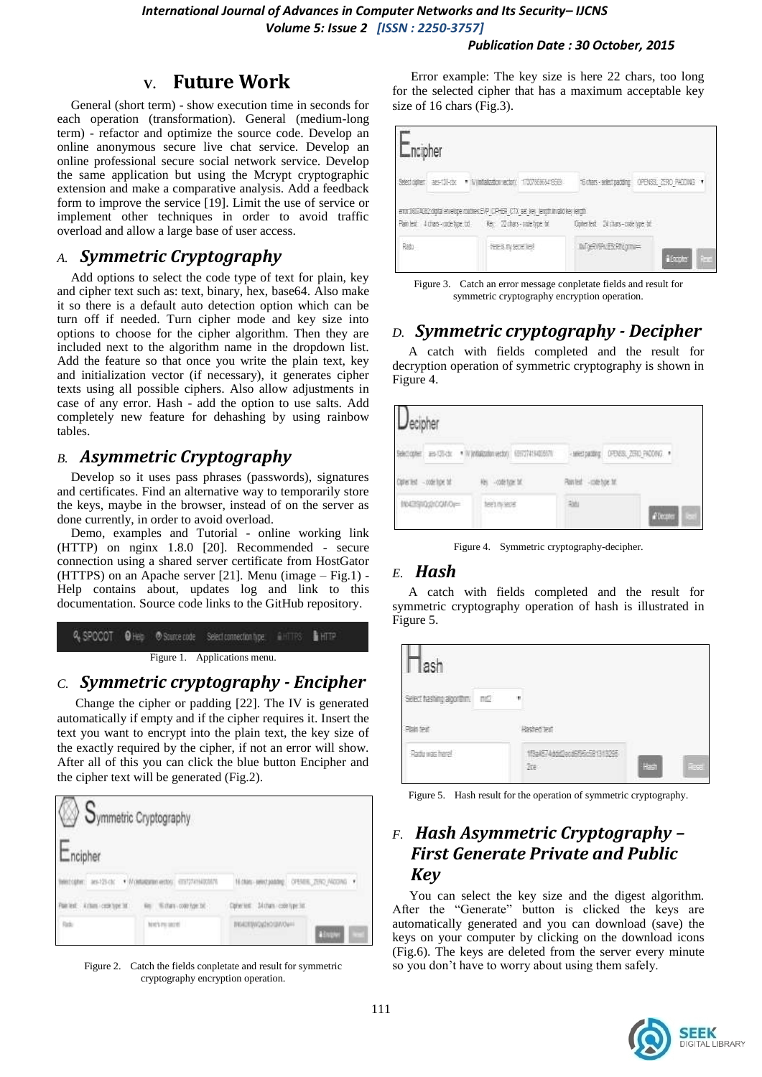*International Journal of Advances in Computer Networks and Its Security– IJCNS Volume 5: Issue 2 [ISSN : 2250-3757]* 

#### *Publication Date : 30 October, 2015*

## **V. Future Work**

General (short term) - show execution time in seconds for each operation (transformation). General (medium-long term) - refactor and optimize the source code. Develop an online anonymous secure live chat service. Develop an online professional secure social network service. Develop the same application but using the Mcrypt cryptographic extension and make a comparative analysis. Add a feedback form to improve the service [19]. Limit the use of service or implement other techniques in order to avoid traffic overload and allow a large base of user access.

#### *A. Symmetric Cryptography*

Add options to select the code type of text for plain, key and cipher text such as: text, binary, hex, base64. Also make it so there is a default auto detection option which can be turn off if needed. Turn cipher mode and key size into options to choose for the cipher algorithm. Then they are included next to the algorithm name in the dropdown list. Add the feature so that once you write the plain text, key and initialization vector (if necessary), it generates cipher texts using all possible ciphers. Also allow adjustments in case of any error. Hash - add the option to use salts. Add completely new feature for dehashing by using rainbow tables.

#### *B. Asymmetric Cryptography*

Develop so it uses pass phrases (passwords), signatures and certificates. Find an alternative way to temporarily store the keys, maybe in the browser, instead of on the server as done currently, in order to avoid overload.

Demo, examples and Tutorial - online working link (HTTP) on nginx 1.8.0 [20]. Recommended - secure connection using a shared server certificate from HostGator (HTTPS) on an Apache server [21]. Menu (image – Fig.1) - Help contains about, updates log and link to this documentation. Source code links to the GitHub repository.

|  | Figure 1. Applications menu. |  |  |
|--|------------------------------|--|--|

## *C. Symmetric cryptography - Encipher*

Change the cipher or padding [22]. The IV is generated automatically if empty and if the cipher requires it. Insert the text you want to encrypt into the plain text, the key size of the exactly required by the cipher, if not an error will show. After all of this you can click the blue button Encipher and the cipher text will be generated (Fig.2).

|                         | Symmetric Cryptography   |                                   |                              |
|-------------------------|--------------------------|-----------------------------------|------------------------------|
| ncipher.                |                          |                                   |                              |
|                         | * Matagannasso           |                                   | N.OM MOJAME ORIEL 200 NORG . |
| Painet: Artim competiti | Nichara - colle how DC - | Optionism: Distrato code type for |                              |
| Rabi                    | hist's mi inorth         | PEACEWORK CHAOS                   | <b>A Engine</b>              |

Figure 2. Catch the fields conpletate and result for symmetric cryptography encryption operation.

Error example: The key size is here 22 chars, too long for the selected cipher that has a maximum acceptable key size of 16 chars (Fig.3).

| ncipher                                                                                    |                                                                       |                                     |                     |
|--------------------------------------------------------------------------------------------|-----------------------------------------------------------------------|-------------------------------------|---------------------|
|                                                                                            | Select capter: ass-123-ctx * Winnipalization vectors: 173078363419569 | 6 chas - selectrating               | ORNEL ZERO PADDAG * |
|                                                                                            |                                                                       |                                     |                     |
| eror DESTAGEZ cigital envelope nodmes EVP CIPHER. CTX set lies, length invalid key length. |                                                                       | Contented: 24 chars - code type bit |                     |

Figure 3. Catch an error message conpletate fields and result for symmetric cryptography encryption operation.

## *D. Symmetric cryptography - Decipher*

 A catch with fields completed and the result for decryption operation of symmetric cryptography is shown in Figure 4.

| ecipher<br>1-2010.DI                                  |                                   |                                                              |                              |
|-------------------------------------------------------|-----------------------------------|--------------------------------------------------------------|------------------------------|
|                                                       | <b>STATISTICS</b> IN THE PARTIES. | <b>Miert parting</b>                                         | 11,000<br>DFB88, 250, PAD0NG |
| $-0.08106$ SE<br><b>SAN AT A THE AND A ROOM</b>       | -code fight for                   | <b>CEPTING COORS OF</b><br>- code box 18.<br><b>TABARONI</b> |                              |
| Charles A State Library<br>ershotocoup=<br><b>ALC</b> | wan a                             |                                                              | Tocones                      |

Figure 4. Symmetric cryptography-decipher.

#### *E. Hash*

 A catch with fields completed and the result for symmetric cryptography operation of hash is illustrated in Figure 5.

| ach                       |                                                                          |      |
|---------------------------|--------------------------------------------------------------------------|------|
| Select hashing algorithm. | $\Box Q$<br>- 7                                                          |      |
| Painter                   | <b>A A PART OF PERSONAL</b><br>Hashed text                               |      |
| Radiu was here!           | ddiffer forecent to the<br>and the state of the state of the state<br>激起 | Hach |

Figure 5. Hash result for the operation of symmetric cryptography.

## *F. Hash Asymmetric Cryptography – First Generate Private and Public Key*

You can select the key size and the digest algorithm. After the "Generate" button is clicked the keys are automatically generated and you can download (save) the keys on your computer by clicking on the download icons (Fig.6). The keys are deleted from the server every minute so you don't have to worry about using them safely.